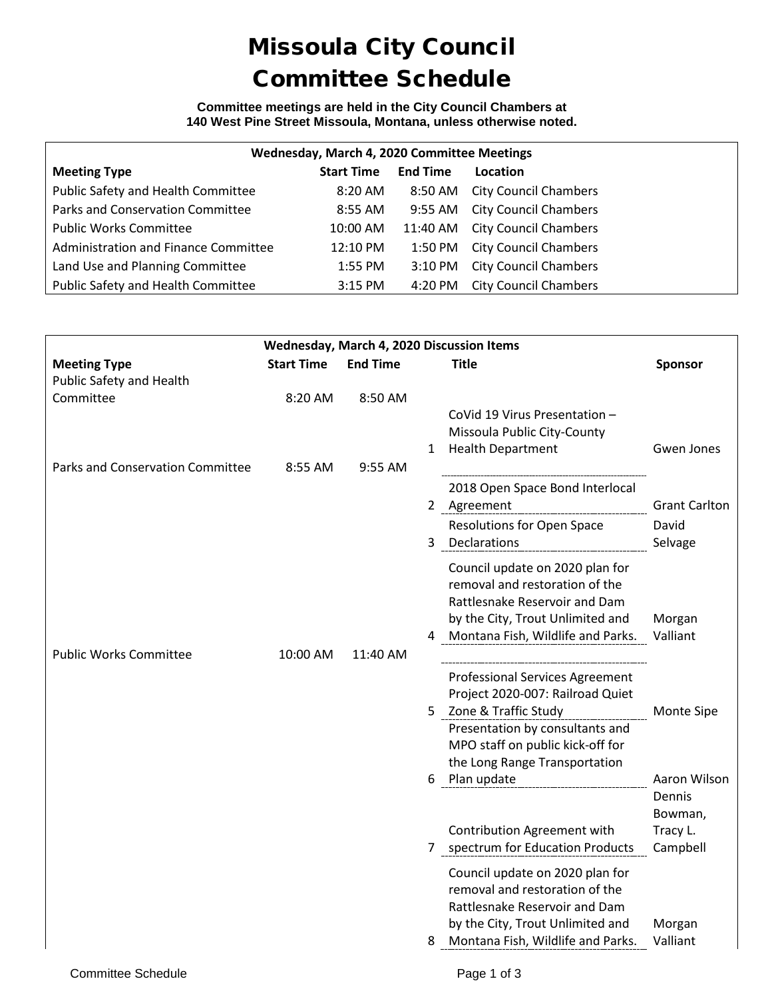# Missoula City Council Committee Schedule

#### **Committee meetings are held in the City Council Chambers at 140 West Pine Street Missoula, Montana, unless otherwise noted.**

| Wednesday, March 4, 2020 Committee Meetings |                   |                 |                              |  |  |  |
|---------------------------------------------|-------------------|-----------------|------------------------------|--|--|--|
| <b>Meeting Type</b>                         | <b>Start Time</b> | <b>End Time</b> | Location                     |  |  |  |
| Public Safety and Health Committee          | 8:20 AM           | 8:50 AM         | <b>City Council Chambers</b> |  |  |  |
| Parks and Conservation Committee            | 8:55 AM           | 9:55 AM         | <b>City Council Chambers</b> |  |  |  |
| <b>Public Works Committee</b>               | 10:00 AM          | 11:40 AM        | <b>City Council Chambers</b> |  |  |  |
| Administration and Finance Committee        | 12:10 PM          | 1:50 PM         | <b>City Council Chambers</b> |  |  |  |
| Land Use and Planning Committee             | 1:55 PM           | 3:10 PM         | <b>City Council Chambers</b> |  |  |  |
| Public Safety and Health Committee          | $3:15$ PM         | 4:20 PM         | <b>City Council Chambers</b> |  |  |  |

| Wednesday, March 4, 2020 Discussion Items     |                    |                    |                                                                                                                                                                               |                                   |  |  |
|-----------------------------------------------|--------------------|--------------------|-------------------------------------------------------------------------------------------------------------------------------------------------------------------------------|-----------------------------------|--|--|
| <b>Meeting Type</b>                           | <b>Start Time</b>  | <b>End Time</b>    | <b>Title</b>                                                                                                                                                                  | <b>Sponsor</b>                    |  |  |
| Public Safety and Health                      |                    |                    |                                                                                                                                                                               |                                   |  |  |
| Committee<br>Parks and Conservation Committee | 8:20 AM<br>8:55 AM | 8:50 AM<br>9:55 AM | CoVid 19 Virus Presentation -<br>Missoula Public City-County<br><b>Health Department</b><br>$\mathbf{1}$                                                                      | Gwen Jones                        |  |  |
|                                               |                    |                    | 2018 Open Space Bond Interlocal<br>2 Agreement                                                                                                                                | <b>Grant Carlton</b>              |  |  |
|                                               |                    |                    | <b>Resolutions for Open Space</b><br>3<br>Declarations                                                                                                                        | David<br>Selvage                  |  |  |
|                                               |                    |                    | Council update on 2020 plan for<br>removal and restoration of the<br>Rattlesnake Reservoir and Dam<br>by the City, Trout Unlimited and<br>4 Montana Fish, Wildlife and Parks. | Morgan<br>Valliant                |  |  |
| <b>Public Works Committee</b>                 | 10:00 AM           | 11:40 AM           | <b>Professional Services Agreement</b><br>Project 2020-007: Railroad Quiet                                                                                                    |                                   |  |  |
|                                               |                    |                    | Zone & Traffic Study<br>5.<br>Presentation by consultants and<br>MPO staff on public kick-off for<br>the Long Range Transportation<br>Plan update<br>6                        | <b>Monte Sipe</b><br>Aaron Wilson |  |  |
|                                               |                    |                    |                                                                                                                                                                               | Dennis<br>Bowman,                 |  |  |
|                                               |                    |                    | Contribution Agreement with<br>7 spectrum for Education Products                                                                                                              | Tracy L.<br>Campbell              |  |  |
|                                               |                    |                    | Council update on 2020 plan for<br>removal and restoration of the<br>Rattlesnake Reservoir and Dam<br>by the City, Trout Unlimited and                                        | Morgan                            |  |  |
|                                               |                    |                    | Montana Fish, Wildlife and Parks.                                                                                                                                             | Valliant                          |  |  |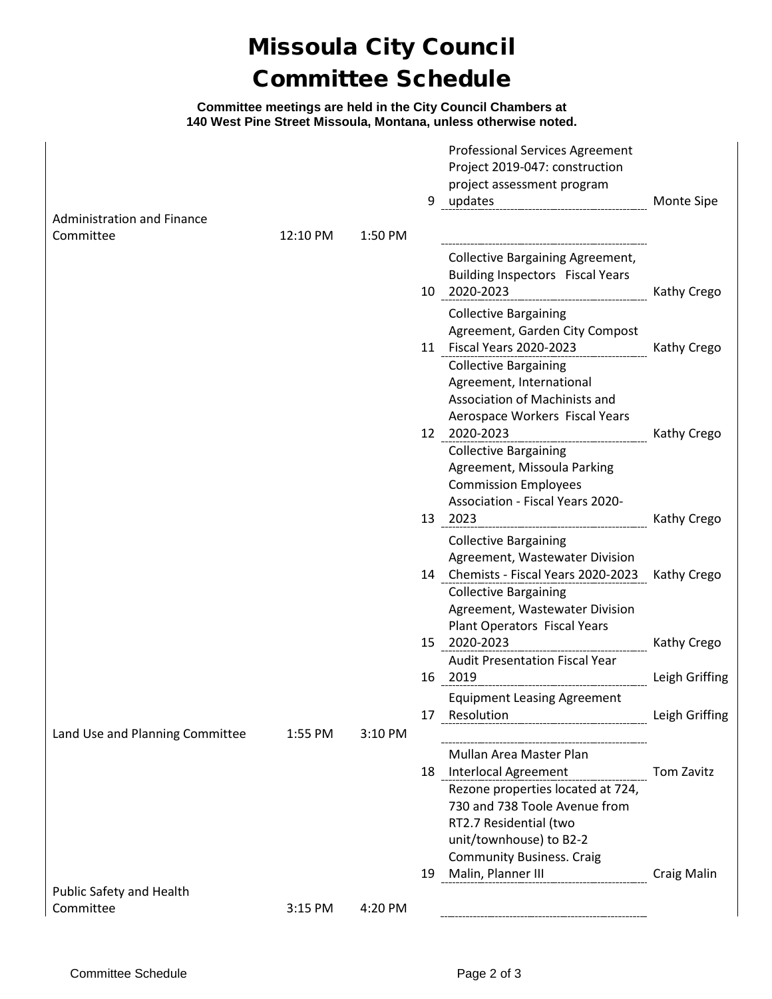# Missoula City Council Committee Schedule

#### **Committee meetings are held in the City Council Chambers at 140 West Pine Street Missoula, Montana, unless otherwise noted.**

|                                                |          |         | 9  | <b>Professional Services Agreement</b><br>Project 2019-047: construction<br>project assessment program<br>updates                                                                    | Monte Sipe         |
|------------------------------------------------|----------|---------|----|--------------------------------------------------------------------------------------------------------------------------------------------------------------------------------------|--------------------|
| <b>Administration and Finance</b><br>Committee | 12:10 PM | 1:50 PM |    |                                                                                                                                                                                      |                    |
|                                                |          |         | 10 | <b>Collective Bargaining Agreement,</b><br><b>Building Inspectors Fiscal Years</b><br>2020-2023                                                                                      | Kathy Crego        |
|                                                |          |         |    | <b>Collective Bargaining</b><br>Agreement, Garden City Compost                                                                                                                       |                    |
|                                                |          |         |    | 11 Fiscal Years 2020-2023<br><b>Collective Bargaining</b><br>Agreement, International<br>Association of Machinists and<br>Aerospace Workers Fiscal Years                             | Kathy Crego        |
|                                                |          |         |    | 12 2020-2023<br><b>Collective Bargaining</b><br>Agreement, Missoula Parking<br><b>Commission Employees</b><br><b>Association - Fiscal Years 2020-</b>                                | Kathy Crego        |
|                                                |          |         |    | 13 2023                                                                                                                                                                              | Kathy Crego        |
|                                                |          |         |    | <b>Collective Bargaining</b><br>Agreement, Wastewater Division<br>14 Chemists - Fiscal Years 2020-2023                                                                               | Kathy Crego        |
|                                                |          |         |    | <b>Collective Bargaining</b><br>Agreement, Wastewater Division<br>Plant Operators Fiscal Years                                                                                       |                    |
|                                                |          |         | 15 | 2020-2023<br><b>Audit Presentation Fiscal Year</b>                                                                                                                                   | Kathy Crego        |
|                                                |          |         |    | 16 2019                                                                                                                                                                              | Leigh Griffing     |
|                                                |          |         |    | <b>Equipment Leasing Agreement</b>                                                                                                                                                   | Leigh Griffing     |
| Land Use and Planning Committee                | 1:55 PM  | 3:10 PM |    |                                                                                                                                                                                      |                    |
|                                                |          |         |    | Mullan Area Master Plan<br>18 Interlocal Agreement Tom Zavitz                                                                                                                        |                    |
|                                                |          |         |    | Rezone properties located at 724,<br>730 and 738 Toole Avenue from<br>RT2.7 Residential (two<br>unit/townhouse) to B2-2<br><b>Community Business. Craig</b><br>19 Malin, Planner III | <b>Craig Malin</b> |
| Public Safety and Health                       |          |         |    |                                                                                                                                                                                      |                    |
| Committee                                      | 3:15 PM  | 4:20 PM |    |                                                                                                                                                                                      |                    |